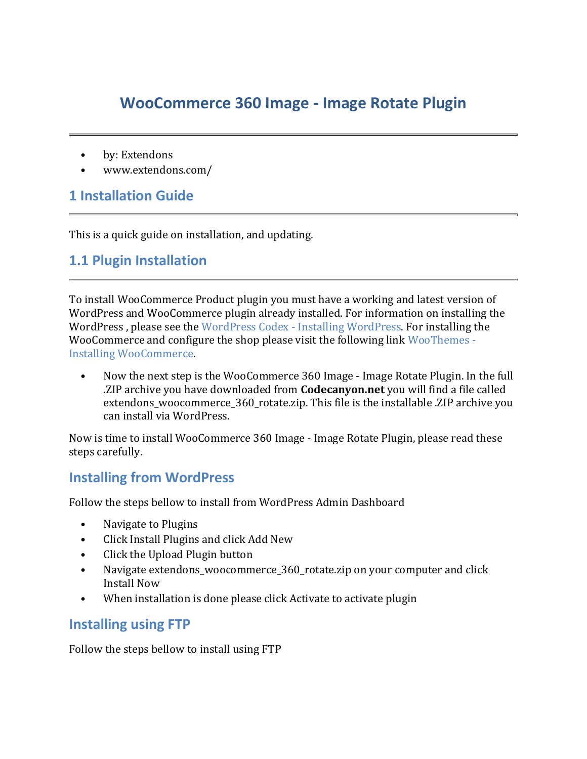## **WooCommerce 360 Image - Image Rotate Plugin**

- by: Extendons
- www.extendons.com/

### **1 Installation Guide**

This is a quick guide on installation, and updating.

#### **1.1 Plugin Installation**

To install WooCommerce Product plugin you must have a working and latest version of WordPress and WooCommerce plugin already installed. For information on installing the WordPress , please see the WordPress Codex - [Installing WordPress.](http://codex.wordpress.org/Installing_WordPress) For installing the WooCommerce and configure the shop please visit the following link [WooThemes -](https://docs.woothemes.com/document/installing-uninstalling-woocommerce/) [Installing WooCommerce.](https://docs.woothemes.com/document/installing-uninstalling-woocommerce/)

• Now the next step is the WooCommerce 360 Image - Image Rotate Plugin. In the full .ZIP archive you have downloaded from **Codecanyon.net** you will find a file called extendons\_woocommerce\_360\_rotate.zip. This file is the installable .ZIP archive you can install via WordPress.

Now is time to install WooCommerce 360 Image - Image Rotate Plugin, please read these steps carefully.

#### **Installing from WordPress**

Follow the steps bellow to install from WordPress Admin Dashboard

- Navigate to Plugins
- Click Install Plugins and click Add New
- Click the Upload Plugin button
- Navigate extendons woocommerce 360 rotate.zip on your computer and click Install Now
- When installation is done please click Activate to activate plugin

#### **Installing using FTP**

Follow the steps bellow to install using FTP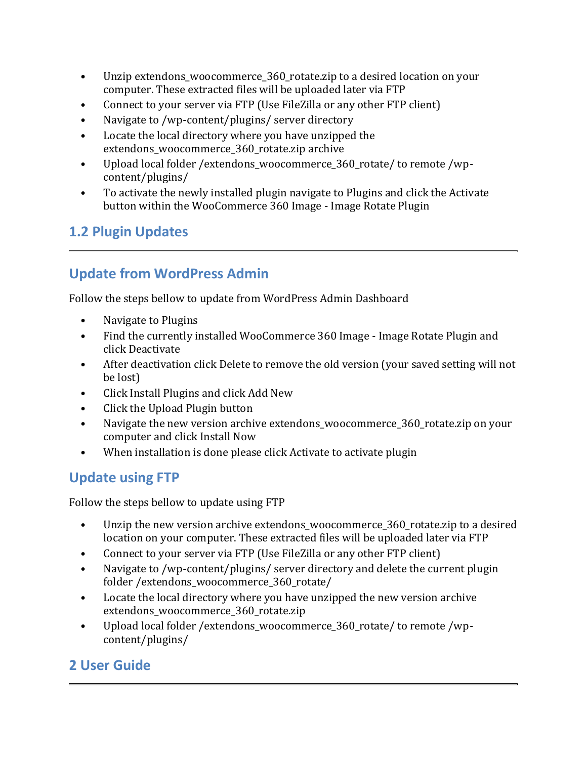- Unzip extendons woocommerce 360 rotate.zip to a desired location on your computer. These extracted files will be uploaded later via FTP
- Connect to your server via FTP (Use FileZilla or any other FTP client)
- Navigate to /wp-content/plugins/ server directory
- Locate the local directory where you have unzipped the extendons woocommerce 360 rotate.zip archive
- Upload local folder / extendons\_woocommerce\_360\_rotate/ to remote /wpcontent/plugins/
- To activate the newly installed plugin navigate to Plugins and click the Activate button within the WooCommerce 360 Image - Image Rotate Plugin

## **1.2 Plugin Updates**

# **Update from WordPress Admin**

Follow the steps bellow to update from WordPress Admin Dashboard

- Navigate to Plugins
- Find the currently installed WooCommerce 360 Image Image Rotate Plugin and click Deactivate
- After deactivation click Delete to remove the old version (your saved setting will not be lost)
- Click Install Plugins and click Add New
- Click the Upload Plugin button
- Navigate the new version archive extendons woocommerce 360 rotate.zip on your computer and click Install Now
- When installation is done please click Activate to activate plugin

## **Update using FTP**

Follow the steps bellow to update using FTP

- Unzip the new version archive extendons woocommerce 360 rotate.zip to a desired location on your computer. These extracted files will be uploaded later via FTP
- Connect to your server via FTP (Use FileZilla or any other FTP client)
- Navigate to /wp-content/plugins/ server directory and delete the current plugin folder /extendons\_woocommerce\_360\_rotate/
- Locate the local directory where you have unzipped the new version archive extendons\_woocommerce\_360\_rotate.zip
- Upload local folder /extendons\_woocommerce\_360\_rotate/ to remote /wpcontent/plugins/

## **2 User Guide**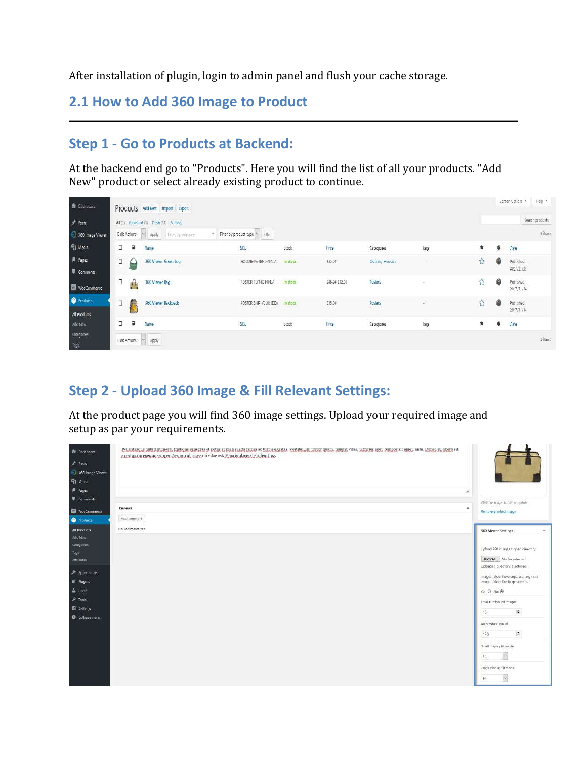After installation of plugin, login to admin panel and flush your cache storage.

### **2.1 How to Add 360 Image to Product**

## **Step 1 - Go to Products at Backend:**

At the backend end go to "Products". Here you will find the list of all your products. "Add New" product or select already existing product to continue.

| <b>B</b> Dashboard       |        |                     | Products Add New Import Export                 |                                 |              |               |                        |        |         |   | Screen Options          | Help:   |
|--------------------------|--------|---------------------|------------------------------------------------|---------------------------------|--------------|---------------|------------------------|--------|---------|---|-------------------------|---------|
| $#$ Fosts                |        |                     | All (3)   Published (3)   Trash (21)   Sorting |                                 |              |               |                        |        |         |   | Search products         |         |
| 360 Image Viewer         |        | <b>Bulk Actions</b> | Filter by category<br>Apply                    | Filter by product type V Filter |              |               |                        |        |         |   |                         | 3 items |
| <sup>4</sup> 1 Media     | □      | N                   | Name                                           | SKU                             | Stock        | Price         | Categories             | Tags   | $\star$ | G | Date                    |         |
| Pages<br>Comments        | $\Box$ |                     | 360 Viewer Green bag                           | HOODIE-PATIENT-NINJA            | In stock-    | £35.00        | <b>Ciothing Hondes</b> | $\sim$ | û       | ĝ | Published<br>2017/11/14 |         |
| WooCommerce              | Π      | А                   | 360 Viewer Bag                                 | POSTER-FLYING-NINJA             | in stock     | E15.00 ±12.00 | Posters:               |        | ☆       | ø | Published<br>2017/11/14 |         |
| Products<br>All Products | D      | 煬                   | 360 Viewer Backpack                            | POSTER-SHIP-YOUR-IDEA           | In stock     | E15.00        | Posters<br>maan        | $\sim$ | Ů.      | ĝ | Published<br>2017/11/14 |         |
| Add New                  | □      | 匷                   | Name                                           | SKU                             | <b>Stock</b> | Price         | Categories             | Tarps  | $\star$ | ۵ | Date                    |         |
| Cotegories<br>Tags       |        | Bulk Actions        | w Apply                                        |                                 |              |               |                        |        |         |   |                         | 3 items |

## **Step 2 - Upload 360 Image & Fill Relevant Settings:**

At the product page you will find 360 image settings. Upload your required image and setup as par your requirements.

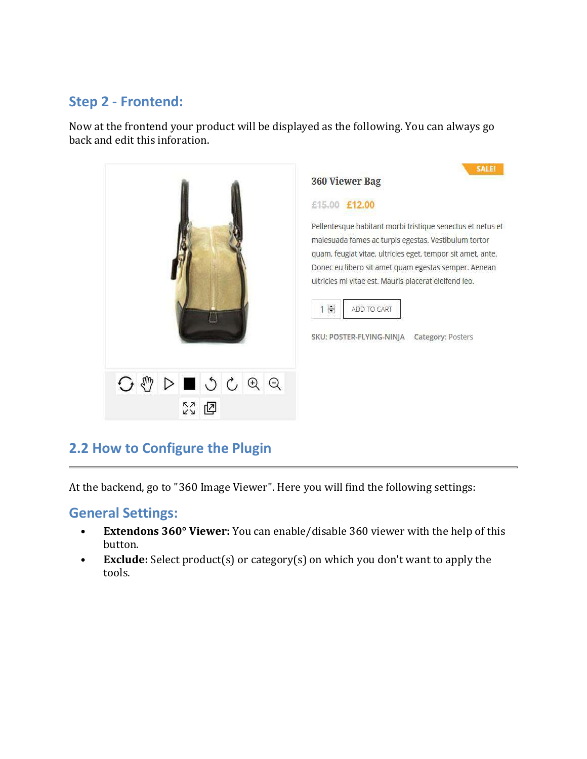### **Step 2 - Frontend:**

Now at the frontend your product will be displayed as the following. You can always go back and edit this inforation.



### **2.2 How to Configure the Plugin**

At the backend, go to "360 Image Viewer". Here you will find the following settings:

#### **General Settings:**

- **Extendons 360° Viewer:** You can enable/disable 360 viewer with the help of this button.
- **Exclude:** Select product(s) or category(s) on which you don't want to apply the tools.